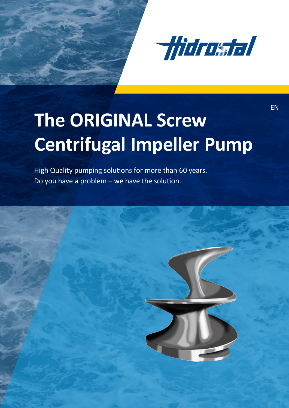

EN

# The ORIGINAL Screw **Centrifugal Impeller Pump**

High Quality pumping solutions for more than 60 years. Do you have a problem – we have the solution.

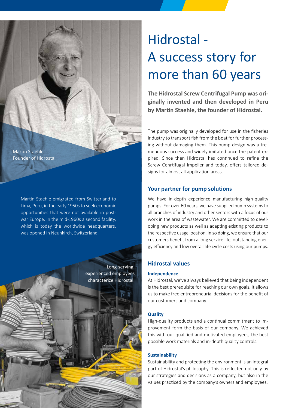#### Martin Staehle Founder of Hidrostal

Martin Staehle emigrated from Switzerland to Lima, Peru, in the early 1950s to seek economic opportunities that were not available in postwar Europe. In the mid-1960s a second facility, which is today the worldwide headquarters, was opened in Neunkirch, Switzerland.

Long-serving, experienced employees characterize Hidrostal.

# Hidrostal - A success story for more than 60 years

**The Hidrostal Screw Centrifugal Pump was originally invented and then developed in Peru by Martin Staehle, the founder of Hidrostal.**

The pump was originally developed for use in the fisheries industry to transport fish from the boat for further processing without damaging them. This pump design was a tremendous success and widely imitated once the patent expired. Since then Hidrostal has continued to refine the Screw Cenrtifugal Impeller and today, offers tailored designs for almost all application areas.

#### **Your partner for pump solutions**

We have in-depth experience manufacturing high-quality pumps. For over 60 years, we have supplied pump systems to all branches of industry and other sectors with a focus of our work in the area of wastewater. We are committed to developing new products as well as adapting existing products to the respective usage location. In so doing, we ensure that our customers benefit from a long service life, outstanding energy efficiency and low overall life cycle costs using our pumps.

#### **Hidrostal values**

#### **Independence**

At Hidrostal, we've always believed that being independent is the best prerequisite for reaching our own goals. It allows us to make free entrepreneurial decisions for the benefit of our customers and company.

#### **Quality**

High-quality products and a continual commitment to improvement form the basis of our company. We achieved this with our qualified and motivated employees, the best possible work materials and in-depth quality controls.

#### **Sustainability**

Sustainability and protecting the environment is an integral part of Hidrostal's philosophy. This is reflected not only by our strategies and decisions as a company, but also in the values practiced by the company's owners and employees.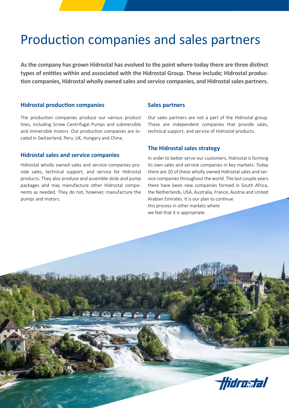### Production companies and sales partners

**As the company has grown Hidrostal has evolved to the point where today there are three distinct types of entities within and associated with the Hidrostal Group. These include; Hidrostal production companies, Hidrostal wholly owned sales and service companies, and Hidrostal sales partners.**

#### **Hidrostal production companies**

The production companies produce our various product lines, including Screw Centrifugal Pumps and submersible and immersible motors. Our production companies are located in Switzerland, Peru, UK, Hungary and China.

#### **Hidrostal sales and service companies**

Hidrostal wholly owned sales and service companies provide sales, technical support, and service for Hidrostal products. They also produce and assemble skids and pump packages and may manufacture other Hidrostal components as needed. They do not, however, manufacture the pumps and motors.

#### **Sales partners**

Our sales partners are not a part of the Hidrostal group. These are independent companies that provide sales, technical support, and service of Hidrostal products.

#### **The Hidrostal sales strategy**

In order to better serve our customers, Hidrostal is forming its own sales and service companies in key markets. Today there are 20 of these wholly owned Hidrostal sales and service companies throughout the world. The last couple years there have been new companies formed in South Africa, the Netherlands, USA, Australia, France, Austria and United Arabian Emirates. It is our plan to continue this process in other markets where we feel that it is appropriate.

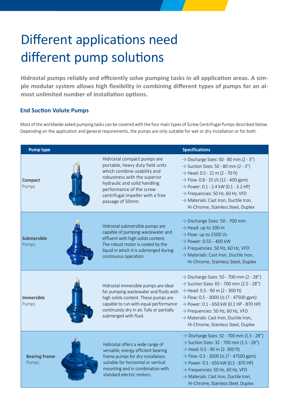# Different applications need different pump solutions

**Hidrostal pumps reliably and efficiently solve pumping tasks in all application areas. A simple modular system allows high flexibility in combining different types of pumps for an almost unlimited number of installation options.**

#### **End Suction Volute Pumps**

Most of the worldwide asked pumping tasks can be covered with the four main types of Screw Centrifugal Pumps described below. Depending on the application and general requirements, the pumps are only suitable for wet or dry installation or for both.

| <b>Pump type</b>              |                                                                                                                                                                                                                                                    | <b>Specifications</b>                                                                                                                                                                                                                                                                                                                                                                                               |
|-------------------------------|----------------------------------------------------------------------------------------------------------------------------------------------------------------------------------------------------------------------------------------------------|---------------------------------------------------------------------------------------------------------------------------------------------------------------------------------------------------------------------------------------------------------------------------------------------------------------------------------------------------------------------------------------------------------------------|
| <b>Compact</b><br>Pumps       | Hidrostal compact pumps are<br>portable, heavy duty field units<br>which combine usability and<br>robustness with the superior<br>hydraulic and solid handling<br>performance of the screw<br>centrifugal impeller with a free<br>passage of 50mm. | $\rightarrow$ Discharge Sizes: 50 - 80 mm (2 - 3")<br>$\rightarrow$ Suction Sizes: 50 - 80 mm (2 - 3")<br>$\rightarrow$ Head: 0.5 - 21 m (2 - 70 ft)<br>$\rightarrow$ Flow: 0.8 - 25 l/s (12 - 400 gpm)<br>$\rightarrow$ Power: 0.1 - 2.4 kW (0.1 - 3.2 HP)<br>$\rightarrow$ Frequencies: 50 Hz, 60 Hz, VFD<br>$\rightarrow$ Materials: Cast Iron, Ductile Iron,<br>Hi-Chrome, Stainless Steel, Duplex              |
| <b>Submersible</b><br>Pumps   | Hidrostal submersible pumps are<br>capable of pumping wastewater and<br>effluent with high solids content.<br>The robust motor is cooled by the<br>liquid in which it is submerged during<br>continuous operation.                                 | $\rightarrow$ Discharge Sizes: 50 - 700 mm<br>$\rightarrow$ Head: up to 100 m<br>$\rightarrow$ Flow: up to 2500 l/s<br>$\rightarrow$ Power: 0.55 - 400 kW<br>$\rightarrow$ Frequencies: 50 Hz, 60 Hz, VFD<br>$\rightarrow$ Materials: Cast Iron, Ductile Iron,<br>Hi-Chrome, Stainless Steel, Duplex                                                                                                                |
| <b>Immersible</b><br>Pumps    | Hidrostal immersible pumps are ideal<br>for pumping wastewater and fluids with<br>high solids content. These pumps are<br>capable to run with equal performance<br>continuosly dry in air, fully or partially<br>submerged with fluid.             | $\rightarrow$ Discharge Sizes: 50 - 700 mm (2 - 28")<br>$\rightarrow$ Suction Sizes: 65 - 700 mm (2.5 - 28")<br>$\rightarrow$ Head: 0.5 - 90 m (2 - 300 ft)<br>$\rightarrow$ Flow: 0.5 - 3000 l/s (7 - 47500 gpm)<br>$\rightarrow$ Power: 0.1 - 650 kW (0.1 HP - 870 HP)<br>$\rightarrow$ Frequencies: 50 Hz, 60 Hz, VFD<br>$\rightarrow$ Materials: Cast Iron, Ductile Iron,<br>Hi-Chrome, Stainless Steel, Duplex |
| <b>Bearing Frame</b><br>Pumps | Hidrostal offers a wide range of<br>versatile, energy efficient bearing<br>frame pumps for dry installation,<br>suitable for horizontal or vertical<br>mounting and in combination with<br>standard electric motors.                               | $\rightarrow$ Discharge Sizes: 32 - 700 mm (1.5 - 28")<br>$\rightarrow$ Suction Sizes: 32 - 700 mm (1.5 - 28")<br>$\rightarrow$ Head: 0.5 - 90 m (2-300 ft)<br>$\rightarrow$ Flow: 0.5 - 3000 l/s (7 - 47500 gpm)<br>$\rightarrow$ Power: 0.1 - 650 kW (0.1 - 870 HP)<br>$\rightarrow$ Frequencies: 50 Hz, 60 Hz, VFD<br>$\rightarrow$ Materials: Cast Iron, Ductile Iron,<br>Hi-Chrome, Stainless Steel, Duplex    |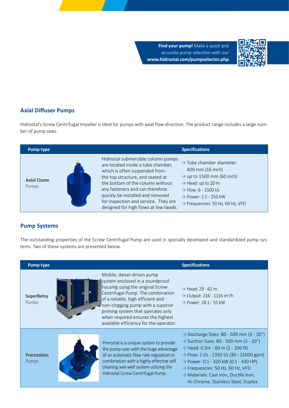**Find your pump!** Make a quick and accurate pump selection with our **www.hidrostal.com/pumpselector.php**



#### **Axial Diffuser Pumps**

Hidrostal's Screw Centrifugal Impeller is ideal for pumps with axial flow direction. The product range includes a large number of pump sizes.

| Pump type                   | <b>Specifications</b>                                                                                                                                                                                                                                                                                                                                                                                                                                                                                                                                                                                     |
|-----------------------------|-----------------------------------------------------------------------------------------------------------------------------------------------------------------------------------------------------------------------------------------------------------------------------------------------------------------------------------------------------------------------------------------------------------------------------------------------------------------------------------------------------------------------------------------------------------------------------------------------------------|
| <b>Axial Clumn</b><br>Pumps | Hidrostal submersible column pumps<br>$\rightarrow$ Tube chamber diameter:<br>are located inside a tube chamber,<br>400 mm (16 Inch)<br>which is often suspended from<br>$\rightarrow$ up to 1500 mm (60 inch)<br>the top structure, and seated at<br>the bottom of the column without<br>$\rightarrow$ Head: up to 20 m<br>any fasteners and can therefore<br>$\rightarrow$ Flow: 6 - 1500 l/s<br>quickly be installed and removed<br>$\rightarrow$ Power: 1.5 - 250 kW<br>for inspection and service. They are<br>$\rightarrow$ Frequencies: 50 Hz, 60 Hz, VFD<br>designed for high flows at low heads. |

#### **Pump Systems**

The outstanding properties of the Screw Centrifugal Pump are used in specially developed and standardized pump systems. Two of these systems are presented below.

| <b>Pump type</b>                   |                                                                                                                                                                                                                                                                                                                                      | <b>Specifications</b>                                                                                                                                                                                                                                                                                                                                                                                              |
|------------------------------------|--------------------------------------------------------------------------------------------------------------------------------------------------------------------------------------------------------------------------------------------------------------------------------------------------------------------------------------|--------------------------------------------------------------------------------------------------------------------------------------------------------------------------------------------------------------------------------------------------------------------------------------------------------------------------------------------------------------------------------------------------------------------|
| <b>SuperBetsy</b><br>Pumps         | Mobile, diesel-driven pump<br>system enclosed in a soundproof<br>housing using the original Screw<br>Centrifugal Pump. The combination<br>of a reliable, high efficient and<br>non-clogging pump with a superior<br>priming system that operates only<br>when required ensures the highest<br>available efficiency for the operator. | $\rightarrow$ Head: 29 - 62 m<br>$\rightarrow$ Output: 216 - 1116 m <sup>3</sup> /h<br>$\rightarrow$ Power: 18.1 - 55 kW                                                                                                                                                                                                                                                                                           |
| <b>Prerotation</b><br><b>Pumps</b> | Prerostal is a unique system to provide<br>the pump user with the huge advantage<br>of an automatic flow rate regulation in<br>combination with a highly effective self<br>cleaning wet-well system utilizing the<br>Hidrostal Screw Centrifugal Pump.                                                                               | $\rightarrow$ Discharge Sizes: 80 - 500 mm (3 - 20")<br>$\rightarrow$ Suction Sizes: 80 - 500 mm (3 - 20")<br>$\rightarrow$ Head: 0.5m - 60 m (2 - 200 ft)<br>$\rightarrow$ Flow: 2 l/s - 1350 l/s (30 - 21000 gpm)<br>$\rightarrow$ Power: 0.1 - 320 kW (0.1 - 430 HP)<br>$\rightarrow$ Frequencies: 50 Hz, 60 Hz, VFD<br>$\rightarrow$ Materials: Cast Iron, Ductile Iron,<br>Hi-Chrome, Stainless Steel, Duplex |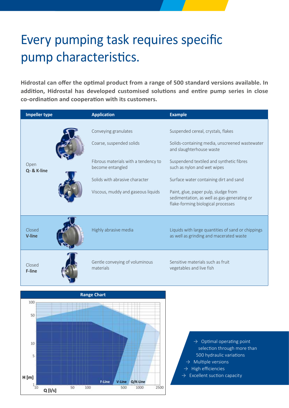# Every pumping task requires specific pump characteristics.

**Hidrostal can offer the optimal product from a range of 500 standard versions available. In addition, Hidrostal has developed customised solutions and entire pump series in close co-ordination and cooperation with its customers.**

| <b>Impeller type</b><br><b>Application</b> |                                                                                                                                                                                      | <b>Example</b>                                                                                                                                                                                                                                                                                                                                                     |  |
|--------------------------------------------|--------------------------------------------------------------------------------------------------------------------------------------------------------------------------------------|--------------------------------------------------------------------------------------------------------------------------------------------------------------------------------------------------------------------------------------------------------------------------------------------------------------------------------------------------------------------|--|
| Open<br>Q- & K-line                        | Conveying granulates<br>Coarse, suspended solids<br>Fibrous materials with a tendency to<br>become entangled<br>Solids with abrasive character<br>Viscous, muddy and gaseous liquids | Suspended cereal, crystals, flakes<br>Solids-containing media, unscreened wastewater<br>and slaughterhouse waste<br>Suspendend textiled and synthetic fibres<br>such as nylon and wet wipes<br>Surface water containing dirt and sand<br>Paint, glue, paper pulp, sludge from<br>sedimentation, as well as gas-generating or<br>flake-forming biological processes |  |
| Closed<br><b>V-line</b>                    | Highly abrasive media                                                                                                                                                                | Liquids with large quantities of sand or chippings<br>as well as grinding and macerated waste                                                                                                                                                                                                                                                                      |  |
| Closed<br>F-line                           | Gentle conveying of voluminous<br>materials                                                                                                                                          | Sensitive materials such as fruit<br>vegetables and live fish                                                                                                                                                                                                                                                                                                      |  |
| <b>Range Chart</b><br>100<br>50            |                                                                                                                                                                                      |                                                                                                                                                                                                                                                                                                                                                                    |  |



 $\rightarrow$  Optimal operating point selection through more than 500 hydraulic variations  $\rightarrow$  Multiple versions

- $\rightarrow$  High efficiencies
- $\rightarrow$  Excellent suction capacity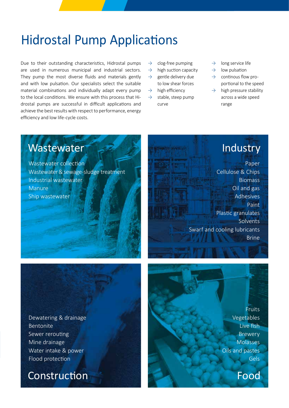### Hidrostal Pump Applications

Due to their outstanding characteristics, Hidrostal pumps are used in numerous municipal and industrial sectors. They pump the most diverse fluids and materials gently and with low pulsation. Our specialists select the suitable material combinations and individually adapt every pump to the local conditions. We ensure with this process that Hidrostal pumps are successful in difficult applications and achieve the best results with respect to performance, energy efficiency and low life-cycle costs.

- $\rightarrow$  clog-free pumping
- $\rightarrow$  high suction capacity
- $\rightarrow$  gentle delivery due to low shear forces
- $\rightarrow$  high efficiency
- $\rightarrow$  stable, steep pump curve
- $\rightarrow$  long service life
- $\rightarrow$  low pulsation
- $\rightarrow$  continous flow proportional to the speed
- $\rightarrow$  high pressure stability across a wide speed range

### **Wastewater**

Wastewater collection Wastewater & sewage-sludge treatment Industrial wastewater Manure Ship wastewater

### Industry

Paper Cellulose & Chips Biomass Oil and gas Adhesives Paint Plastic granulates Solvents Swarf and cooling lubricants Brine

Dewatering & drainage Bentonite Sewer rerouting Mine drainage Water intake & power Flood protection

Construction

Fruits Vegetables Live fish Brewery Molasses Oils and pastes Gels

Food